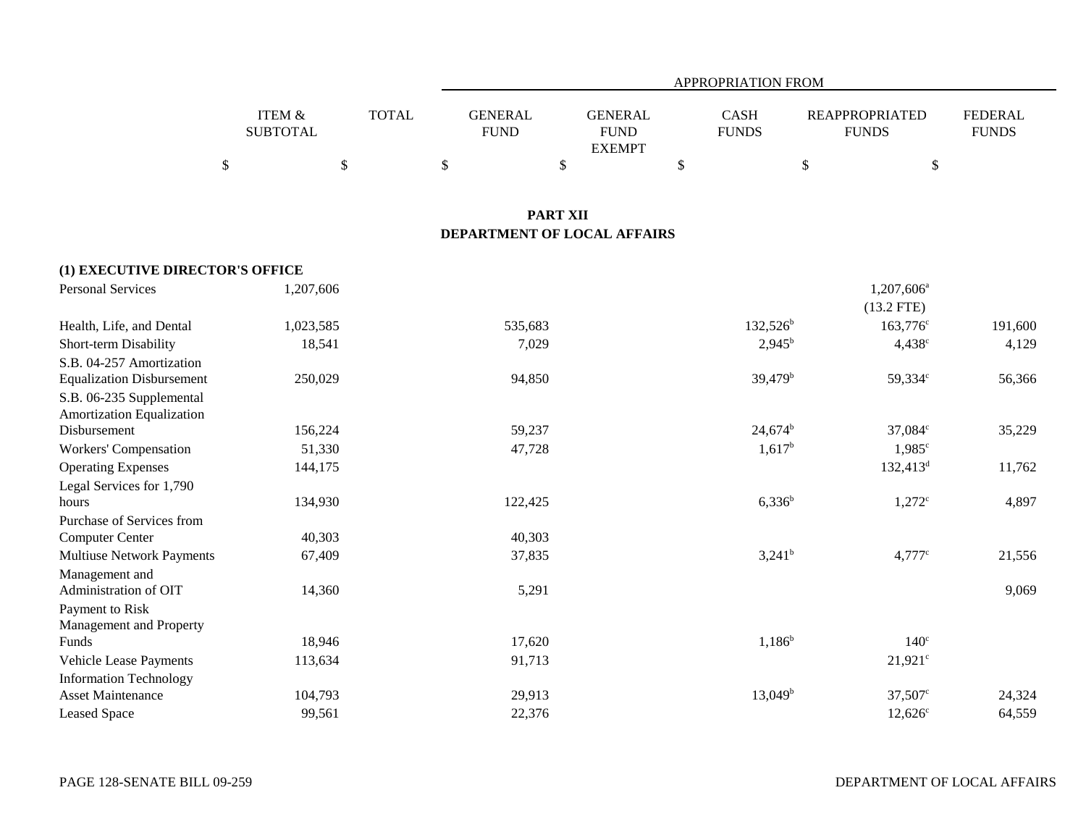|                           |              |                        | APPROPRIATION FROM                      |                      |                                       |                                |  |  |  |  |  |
|---------------------------|--------------|------------------------|-----------------------------------------|----------------------|---------------------------------------|--------------------------------|--|--|--|--|--|
| ITEM &<br><b>SUBTOTAL</b> | <b>TOTAL</b> | GENERAL<br><b>FUND</b> | GENERAL<br><b>FUND</b><br><b>EXEMPT</b> | CASH<br><b>FUNDS</b> | <b>REAPPROPRIATED</b><br><b>FUNDS</b> | <b>FEDERAL</b><br><b>FUNDS</b> |  |  |  |  |  |
|                           |              |                        |                                         |                      |                                       |                                |  |  |  |  |  |

# **PART XII DEPARTMENT OF LOCAL AFFAIRS**

| (1) EXECUTIVE DIRECTOR'S OFFICE  |           |         |                     |                      |         |
|----------------------------------|-----------|---------|---------------------|----------------------|---------|
| Personal Services                | 1,207,606 |         |                     | $1,207,606^a$        |         |
|                                  |           |         |                     | $(13.2$ FTE)         |         |
| Health, Life, and Dental         | 1,023,585 | 535,683 | $132,526^b$         | $163,776^{\circ}$    | 191,600 |
| Short-term Disability            | 18,541    | 7,029   | $2,945^{\rm b}$     | $4,438^{\circ}$      | 4,129   |
| S.B. 04-257 Amortization         |           |         |                     |                      |         |
| <b>Equalization Disbursement</b> | 250,029   | 94,850  | 39,479 <sup>b</sup> | 59,334°              | 56,366  |
| S.B. 06-235 Supplemental         |           |         |                     |                      |         |
| <b>Amortization Equalization</b> |           |         |                     |                      |         |
| Disbursement                     | 156,224   | 59,237  | $24,674^b$          | $37,084^{\circ}$     | 35,229  |
| Workers' Compensation            | 51,330    | 47,728  | $1,617^b$           | $1,985^{\circ}$      |         |
| <b>Operating Expenses</b>        | 144,175   |         |                     | $132,413^d$          | 11,762  |
| Legal Services for 1,790         |           |         |                     |                      |         |
| hours                            | 134,930   | 122,425 | $6,336^b$           | $1,272^{\circ}$      | 4,897   |
| Purchase of Services from        |           |         |                     |                      |         |
| <b>Computer Center</b>           | 40,303    | 40,303  |                     |                      |         |
| <b>Multiuse Network Payments</b> | 67,409    | 37,835  | $3,241^b$           | $4,777$ <sup>c</sup> | 21,556  |
| Management and                   |           |         |                     |                      |         |
| Administration of OIT            | 14,360    | 5,291   |                     |                      | 9,069   |
| Payment to Risk                  |           |         |                     |                      |         |
| Management and Property          |           |         |                     |                      |         |
| Funds                            | 18,946    | 17,620  | $1,186^b$           | $140^\circ$          |         |
| Vehicle Lease Payments           | 113,634   | 91,713  |                     | $21,921$ °           |         |
| <b>Information Technology</b>    |           |         |                     |                      |         |
| <b>Asset Maintenance</b>         | 104,793   | 29,913  | $13,049^{\rm b}$    | $37,507^{\circ}$     | 24,324  |
| Leased Space                     | 99,561    | 22,376  |                     | $12,626^{\circ}$     | 64,559  |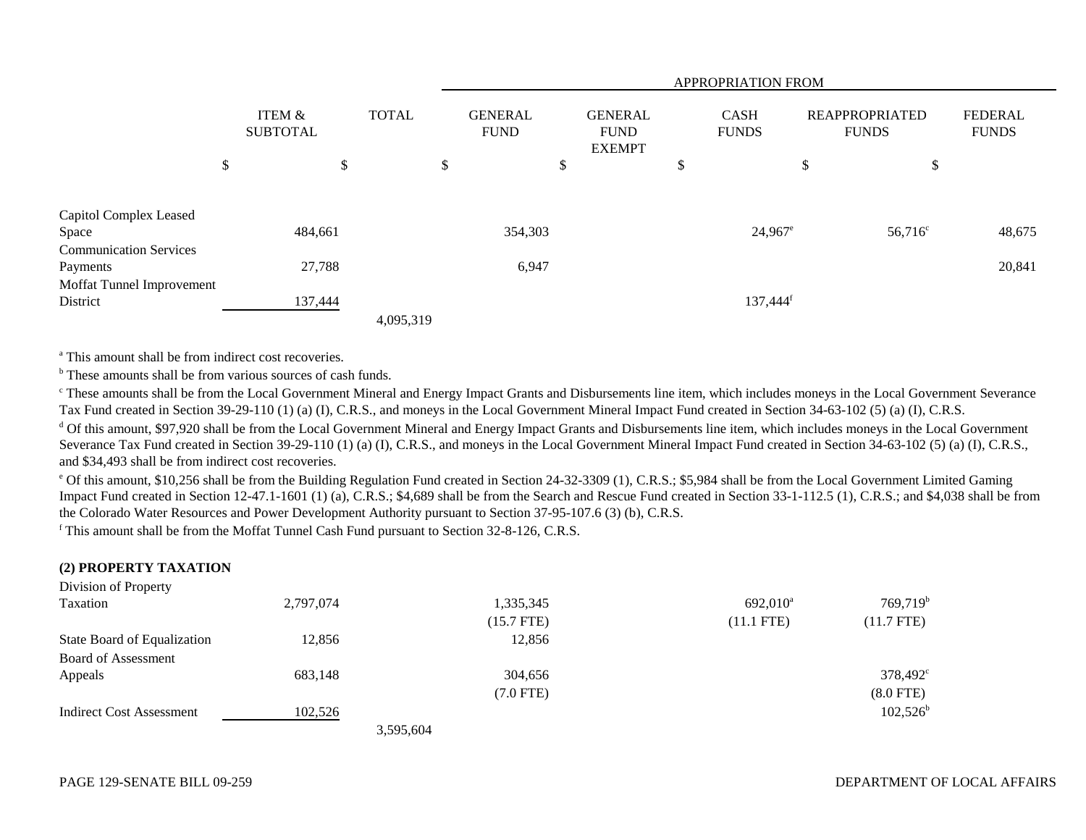|                                           |    |                           |    |           |              | APPROPRIATION FROM |                               |  |                                                |                       |                             |                                       |        |                                |
|-------------------------------------------|----|---------------------------|----|-----------|--------------|--------------------|-------------------------------|--|------------------------------------------------|-----------------------|-----------------------------|---------------------------------------|--------|--------------------------------|
|                                           |    | ITEM &<br><b>SUBTOTAL</b> |    |           | <b>TOTAL</b> |                    | <b>GENERAL</b><br><b>FUND</b> |  | <b>GENERAL</b><br><b>FUND</b><br><b>EXEMPT</b> |                       | <b>CASH</b><br><b>FUNDS</b> | <b>REAPPROPRIATED</b><br><b>FUNDS</b> |        | <b>FEDERAL</b><br><b>FUNDS</b> |
|                                           | \$ |                           | \$ |           | \$           |                    | \$                            |  | $\triangle$<br>Ф                               |                       | \$                          | \$                                    |        |                                |
| Capitol Complex Leased<br>Space           |    | 484,661                   |    |           |              | 354,303            |                               |  |                                                | $24,967$ <sup>e</sup> |                             | $56,716^{\circ}$                      | 48,675 |                                |
| <b>Communication Services</b><br>Payments |    | 27,788                    |    |           |              | 6,947              |                               |  |                                                |                       |                             |                                       | 20,841 |                                |
| Moffat Tunnel Improvement<br>District     |    | 137,444                   |    | 4,095,319 |              |                    |                               |  |                                                | 137,444 <sup>f</sup>  |                             |                                       |        |                                |

<sup>a</sup> This amount shall be from indirect cost recoveries.

<sup>b</sup> These amounts shall be from various sources of cash funds.

<sup>c</sup> These amounts shall be from the Local Government Mineral and Energy Impact Grants and Disbursements line item, which includes moneys in the Local Government Severance Tax Fund created in Section 39-29-110 (1) (a) (I), C.R.S., and moneys in the Local Government Mineral Impact Fund created in Section 34-63-102 (5) (a) (I), C.R.S.

<sup>d</sup> Of this amount, \$97,920 shall be from the Local Government Mineral and Energy Impact Grants and Disbursements line item, which includes moneys in the Local Government Severance Tax Fund created in Section 39-29-110 (1) (a) (I), C.R.S., and moneys in the Local Government Mineral Impact Fund created in Section 34-63-102 (5) (a) (I), C.R.S., and \$34,493 shall be from indirect cost recoveries.

e Of this amount, \$10,256 shall be from the Building Regulation Fund created in Section 24-32-3309 (1), C.R.S.; \$5,984 shall be from the Local Government Limited Gaming Impact Fund created in Section 12-47.1-1601 (1) (a), C.R.S.; \$4,689 shall be from the Search and Rescue Fund created in Section 33-1-112.5 (1), C.R.S.; and \$4,038 shall be from the Colorado Water Resources and Power Development Authority pursuant to Section 37-95-107.6 (3) (b), C.R.S.

f This amount shall be from the Moffat Tunnel Cash Fund pursuant to Section 32-8-126, C.R.S.

# **(2) PROPERTY TAXATION**

| Division of Property            |           |           |              |                   |                      |
|---------------------------------|-----------|-----------|--------------|-------------------|----------------------|
| Taxation                        | 2,797,074 |           | 1,335,345    | $692,010^{\rm a}$ | 769,719 <sup>b</sup> |
|                                 |           |           | $(15.7$ FTE) | $(11.1$ FTE)      | $(11.7$ FTE)         |
| State Board of Equalization     | 12,856    |           | 12,856       |                   |                      |
| Board of Assessment             |           |           |              |                   |                      |
| Appeals                         | 683,148   |           | 304,656      |                   | $378,492^{\circ}$    |
|                                 |           |           | $(7.0$ FTE)  |                   | $(8.0$ FTE)          |
| <b>Indirect Cost Assessment</b> | 102,526   |           |              |                   | $102,526^{\rm b}$    |
|                                 |           | 3.595.604 |              |                   |                      |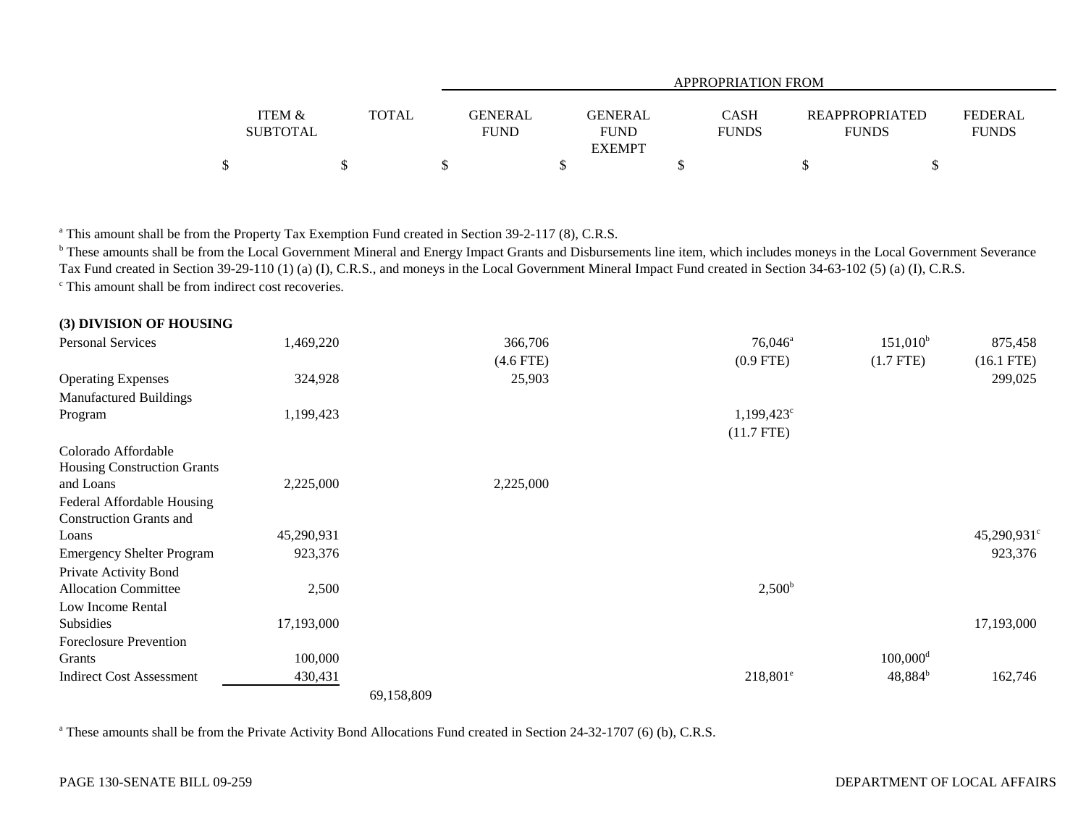|                           |              |                        |                                                | APPROPRIATION FROM          |                                       |                                |
|---------------------------|--------------|------------------------|------------------------------------------------|-----------------------------|---------------------------------------|--------------------------------|
| ITEM &<br><b>SUBTOTAL</b> | <b>TOTAL</b> | GENERAL<br><b>FUND</b> | <b>GENERAL</b><br><b>FUND</b><br><b>EXEMPT</b> | <b>CASH</b><br><b>FUNDS</b> | <b>REAPPROPRIATED</b><br><b>FUNDS</b> | <b>FEDERAL</b><br><b>FUNDS</b> |
| \$                        |              |                        |                                                |                             |                                       |                                |

<sup>a</sup> This amount shall be from the Property Tax Exemption Fund created in Section 39-2-117 (8), C.R.S.

**b** These amounts shall be from the Local Government Mineral and Energy Impact Grants and Disbursements line item, which includes moneys in the Local Government Severance Tax Fund created in Section 39-29-110 (1) (a) (I), C.R.S., and moneys in the Local Government Mineral Impact Fund created in Section 34-63-102 (5) (a) (I), C.R.S. <sup>c</sup> This amount shall be from indirect cost recoveries.

| (3) DIVISION OF HOUSING          |            |            |             |                     |                        |                         |
|----------------------------------|------------|------------|-------------|---------------------|------------------------|-------------------------|
| <b>Personal Services</b>         | 1,469,220  |            | 366,706     | $76,046^a$          | $151,010^b$            | 875,458                 |
|                                  |            |            | $(4.6$ FTE) | $(0.9$ FTE)         | $(1.7$ FTE)            | $(16.1$ FTE)            |
| <b>Operating Expenses</b>        | 324,928    |            | 25,903      |                     |                        | 299,025                 |
| <b>Manufactured Buildings</b>    |            |            |             |                     |                        |                         |
| Program                          | 1,199,423  |            |             | $1,199,423^{\circ}$ |                        |                         |
|                                  |            |            |             | $(11.7$ FTE)        |                        |                         |
| Colorado Affordable              |            |            |             |                     |                        |                         |
| Housing Construction Grants      |            |            |             |                     |                        |                         |
| and Loans                        | 2,225,000  |            | 2,225,000   |                     |                        |                         |
| Federal Affordable Housing       |            |            |             |                     |                        |                         |
| <b>Construction Grants and</b>   |            |            |             |                     |                        |                         |
| Loans                            | 45,290,931 |            |             |                     |                        | 45,290,931 <sup>c</sup> |
| <b>Emergency Shelter Program</b> | 923,376    |            |             |                     |                        | 923,376                 |
| Private Activity Bond            |            |            |             |                     |                        |                         |
| <b>Allocation Committee</b>      | 2,500      |            |             | $2,500^{\rm b}$     |                        |                         |
| Low Income Rental                |            |            |             |                     |                        |                         |
| Subsidies                        | 17,193,000 |            |             |                     |                        | 17,193,000              |
| <b>Foreclosure Prevention</b>    |            |            |             |                     |                        |                         |
| Grants                           | 100,000    |            |             |                     | $100,000$ <sup>d</sup> |                         |
| <b>Indirect Cost Assessment</b>  | 430,431    |            |             | $218,801^{\circ}$   | $48,884^{b}$           | 162,746                 |
|                                  |            | 69,158,809 |             |                     |                        |                         |

<sup>a</sup> These amounts shall be from the Private Activity Bond Allocations Fund created in Section 24-32-1707 (6) (b), C.R.S.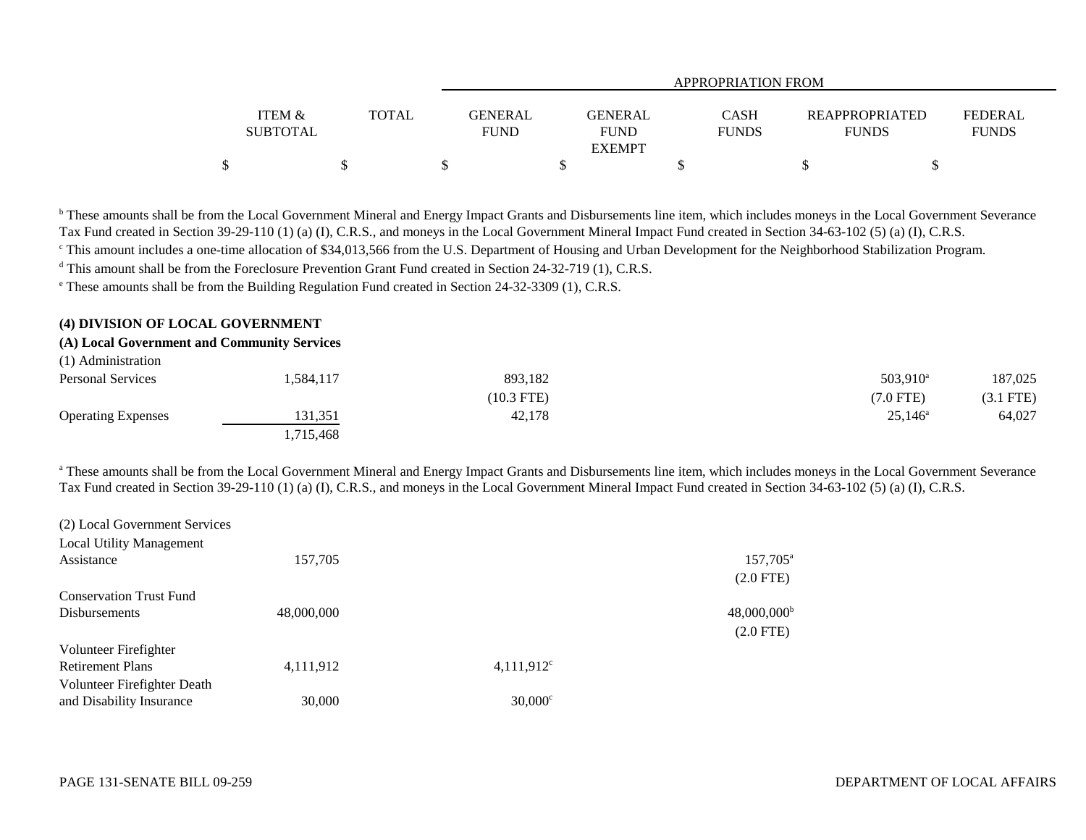| <b>ITEM &amp;</b> | <b>TOTAL</b> | <b>GENERAL</b> | GENERAL       | <b>CASH</b>  | REAPPROPRIATED | <b>FEDERAL</b> |
|-------------------|--------------|----------------|---------------|--------------|----------------|----------------|
| <b>SUBTOTAL</b>   |              | <b>FUND</b>    | <b>FUND</b>   | <b>FUNDS</b> | <b>FUNDS</b>   | <b>FUNDS</b>   |
|                   |              |                | <b>EXEMPT</b> |              |                |                |
|                   |              |                |               |              |                |                |

<sup>b</sup> These amounts shall be from the Local Government Mineral and Energy Impact Grants and Disbursements line item, which includes moneys in the Local Government Severance Tax Fund created in Section 39-29-110 (1) (a) (I), C.R.S., and moneys in the Local Government Mineral Impact Fund created in Section 34-63-102 (5) (a) (I), C.R.S.

<sup>c</sup> This amount includes a one-time allocation of \$34,013,566 from the U.S. Department of Housing and Urban Development for the Neighborhood Stabilization Program.

<sup>d</sup> This amount shall be from the Foreclosure Prevention Grant Fund created in Section 24-32-719 (1), C.R.S.

e These amounts shall be from the Building Regulation Fund created in Section 24-32-3309 (1), C.R.S.

# **(4) DIVISION OF LOCAL GOVERNMENT**

# **(A) Local Government and Community Services**

| (1) Administration        |           |              |                   |           |
|---------------------------|-----------|--------------|-------------------|-----------|
| <b>Personal Services</b>  | 584,117 ، | 893,182      | $503,910^{\circ}$ | 187,025   |
|                           |           | $(10.3$ FTE) | $(7.0$ FTE)       | (3.1 FTE) |
| <b>Operating Expenses</b> | 131,351   | 42,178       | $25,146^{\circ}$  | 64,027    |
|                           | 1.715.468 |              |                   |           |

<sup>a</sup> These amounts shall be from the Local Government Mineral and Energy Impact Grants and Disbursements line item, which includes moneys in the Local Government Severance Tax Fund created in Section 39-29-110 (1) (a) (I), C.R.S., and moneys in the Local Government Mineral Impact Fund created in Section 34-63-102 (5) (a) (I), C.R.S.

| $(2)$ 2000an 80.000 minimum box $(100)$ |            |                  |                           |
|-----------------------------------------|------------|------------------|---------------------------|
| <b>Local Utility Management</b>         |            |                  |                           |
| Assistance                              | 157,705    |                  | 157,705 <sup>a</sup>      |
|                                         |            |                  | $(2.0$ FTE)               |
| <b>Conservation Trust Fund</b>          |            |                  |                           |
| <b>Disbursements</b>                    | 48,000,000 |                  | $48,000,000$ <sup>t</sup> |
|                                         |            |                  | $(2.0$ FTE)               |
| Volunteer Firefighter                   |            |                  |                           |
| <b>Retirement Plans</b>                 | 4,111,912  | $4,111,912^c$    |                           |
| Volunteer Firefighter Death             |            |                  |                           |
| and Disability Insurance                | 30,000     | $30,000^{\circ}$ |                           |

(2) Local Government Services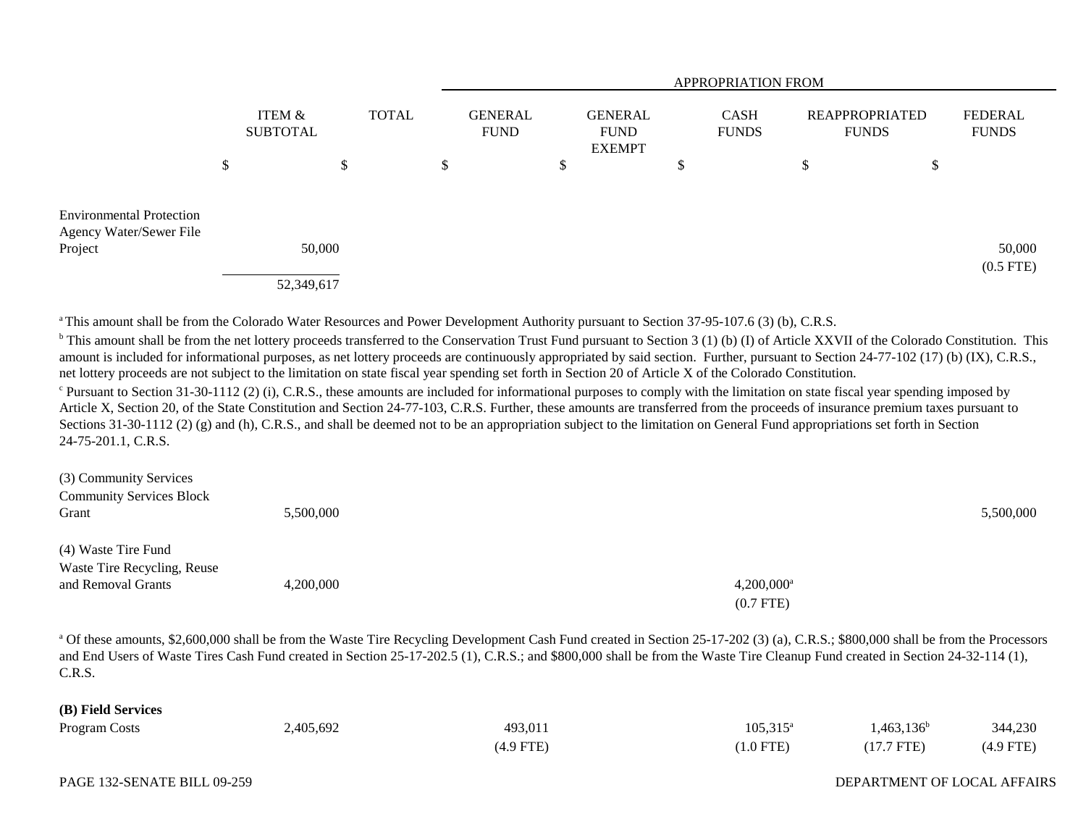|                                                                       |                           |                      |              | <b>APPROPRIATION FROM</b>     |   |                                         |        |                             |    |                                       |                                |
|-----------------------------------------------------------------------|---------------------------|----------------------|--------------|-------------------------------|---|-----------------------------------------|--------|-----------------------------|----|---------------------------------------|--------------------------------|
|                                                                       | ITEM &<br><b>SUBTOTAL</b> |                      | <b>TOTAL</b> | <b>GENERAL</b><br><b>FUND</b> |   | GENERAL<br><b>FUND</b><br><b>EXEMPT</b> |        | <b>CASH</b><br><b>FUNDS</b> |    | <b>REAPPROPRIATED</b><br><b>FUNDS</b> | <b>FEDERAL</b><br><b>FUNDS</b> |
|                                                                       | \$                        |                      | \$           | \$                            | P |                                         | Φ<br>D |                             | \$ | \$                                    |                                |
| <b>Environmental Protection</b><br>Agency Water/Sewer File<br>Project |                           | 50,000<br>52,349,617 |              |                               |   |                                         |        |                             |    |                                       | 50,000<br>$(0.5$ FTE)          |

a This amount shall be from the Colorado Water Resources and Power Development Authority pursuant to Section 37-95-107.6 (3) (b), C.R.S.

<sup>b</sup> This amount shall be from the net lottery proceeds transferred to the Conservation Trust Fund pursuant to Section 3 (1) (b) (I) of Article XXVII of the Colorado Constitution. This amount is included for informational purposes, as net lottery proceeds are continuously appropriated by said section. Further, pursuant to Section 24-77-102 (17) (b) (IX), C.R.S., net lottery proceeds are not subject to the limitation on state fiscal year spending set forth in Section 20 of Article X of the Colorado Constitution.

 $\degree$  Pursuant to Section 31-30-1112 (2) (i), C.R.S., these amounts are included for informational purposes to comply with the limitation on state fiscal year spending imposed by Article X, Section 20, of the State Constitution and Section 24-77-103, C.R.S. Further, these amounts are transferred from the proceeds of insurance premium taxes pursuant to Sections 31-30-1112 (2) (g) and (h), C.R.S., and shall be deemed not to be an appropriation subject to the limitation on General Fund appropriations set forth in Section 24-75-201.1, C.R.S.

| (3) Community Services                            |           |                          |           |
|---------------------------------------------------|-----------|--------------------------|-----------|
| <b>Community Services Block</b>                   |           |                          |           |
| Grant                                             | 5,500,000 |                          | 5,500,000 |
| (4) Waste Tire Fund                               |           |                          |           |
| Waste Tire Recycling, Reuse<br>and Removal Grants | 4,200,000 | $4,200,000$ <sup>a</sup> |           |
|                                                   |           | $(0.7$ FTE)              |           |

<sup>a</sup> Of these amounts, \$2,600,000 shall be from the Waste Tire Recycling Development Cash Fund created in Section 25-17-202 (3) (a), C.R.S.; \$800,000 shall be from the Processors and End Users of Waste Tires Cash Fund created in Section 25-17-202.5 (1), C.R.S.; and \$800,000 shall be from the Waste Tire Cleanup Fund created in Section 24-32-114 (1), C.R.S.

### **(B) Field Services**

| Program Costs | 2,405,692 | 493,011     | $105,315^\circ$ | $1,463,136^b$ | 344,230     |
|---------------|-----------|-------------|-----------------|---------------|-------------|
|               |           | $(4.9$ FTE) | $(1.0$ FTE)     | $(17.7$ FTE)  | $(4.9$ FTE) |

### DEPARTMENT OF LOCAL AFFAIRS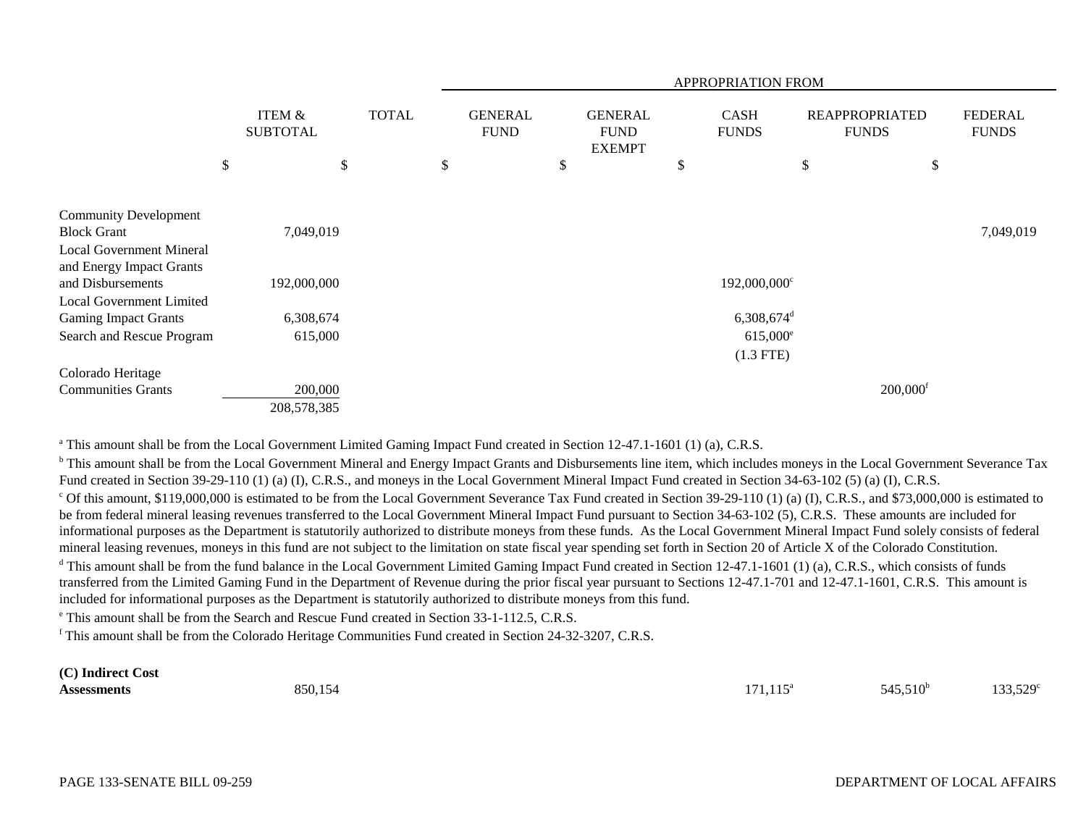|                                                                                  |                                      |              |                               | APPROPRIATION FROM                             |                                  |                                       |                                |  |  |
|----------------------------------------------------------------------------------|--------------------------------------|--------------|-------------------------------|------------------------------------------------|----------------------------------|---------------------------------------|--------------------------------|--|--|
|                                                                                  | <b>ITEM &amp;</b><br><b>SUBTOTAL</b> | <b>TOTAL</b> | <b>GENERAL</b><br><b>FUND</b> | <b>GENERAL</b><br><b>FUND</b><br><b>EXEMPT</b> | <b>CASH</b><br><b>FUNDS</b>      | <b>REAPPROPRIATED</b><br><b>FUNDS</b> | <b>FEDERAL</b><br><b>FUNDS</b> |  |  |
|                                                                                  | \$                                   | \$           | \$                            | \$                                             | \$                               | \$<br>\$                              |                                |  |  |
| <b>Community Development</b><br><b>Block Grant</b>                               | 7,049,019                            |              |                               |                                                |                                  |                                       | 7,049,019                      |  |  |
| <b>Local Government Mineral</b><br>and Energy Impact Grants<br>and Disbursements | 192,000,000                          |              |                               |                                                | 192,000,000 <sup>c</sup>         |                                       |                                |  |  |
| <b>Local Government Limited</b><br><b>Gaming Impact Grants</b>                   | 6,308,674                            |              |                               |                                                | $6,308,674$ <sup>d</sup>         |                                       |                                |  |  |
| Search and Rescue Program                                                        | 615,000                              |              |                               |                                                | $615,000^{\circ}$<br>$(1.3$ FTE) |                                       |                                |  |  |
| Colorado Heritage                                                                |                                      |              |                               |                                                |                                  |                                       |                                |  |  |
| <b>Communities Grants</b>                                                        | 200,000<br>208,578,385               |              |                               |                                                |                                  | $200,000$ <sup>f</sup>                |                                |  |  |

<sup>a</sup> This amount shall be from the Local Government Limited Gaming Impact Fund created in Section 12-47.1-1601 (1) (a), C.R.S.

<sup>b</sup> This amount shall be from the Local Government Mineral and Energy Impact Grants and Disbursements line item, which includes moneys in the Local Government Severance Tax Fund created in Section 39-29-110 (1) (a) (I), C.R.S., and moneys in the Local Government Mineral Impact Fund created in Section 34-63-102 (5) (a) (I), C.R.S.  $^{\circ}$  Of this amount, \$119,000,000 is estimated to be from the Local Government Severance Tax Fund created in Section 39-29-110 (1) (a) (I), C.R.S., and \$73,000,000 is estimated to be from federal mineral leasing revenues transferred to the Local Government Mineral Impact Fund pursuant to Section 34-63-102 (5), C.R.S. These amounts are included for informational purposes as the Department is statutorily authorized to distribute moneys from these funds. As the Local Government Mineral Impact Fund solely consists of federal mineral leasing revenues, moneys in this fund are not subject to the limitation on state fiscal year spending set forth in Section 20 of Article X of the Colorado Constitution. <sup>d</sup> This amount shall be from the fund balance in the Local Government Limited Gaming Impact Fund created in Section 12-47.1-1601 (1) (a), C.R.S., which consists of funds transferred from the Limited Gaming Fund in the Department of Revenue during the prior fiscal year pursuant to Sections 12-47.1-701 and 12-47.1-1601, C.R.S. This amount is included for informational purposes as the Department is statutorily authorized to distribute moneys from this fund.

<sup>e</sup> This amount shall be from the Search and Rescue Fund created in Section 33-1-112.5, C.R.S.

f This amount shall be from the Colorado Heritage Communities Fund created in Section 24-32-3207, C.R.S.

#### **(C) Indirect Cost Assessments**

**8** 171,115<sup>a</sup> 545,510<sup>b</sup> 133,529<sup>c</sup>